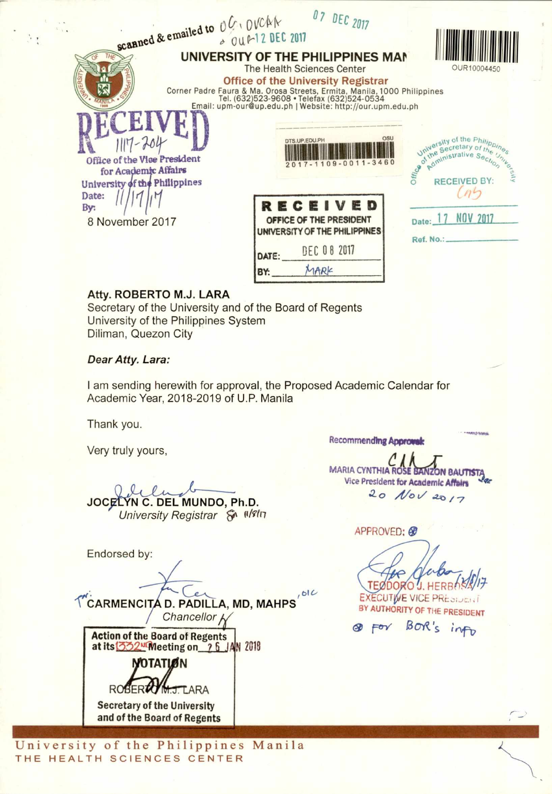| scanned & emailed to OU, OVCAR                                                                                                                                                                                                                                                                      | $UL$ $UL$ $Z017$<br>& OUR-12 DEC 2017                                                                                                      |                                                                                                                                                                          |
|-----------------------------------------------------------------------------------------------------------------------------------------------------------------------------------------------------------------------------------------------------------------------------------------------------|--------------------------------------------------------------------------------------------------------------------------------------------|--------------------------------------------------------------------------------------------------------------------------------------------------------------------------|
| UNIVERSITY OF THE PHILIPPINES MAN<br>The Health Sciences Center<br><b>Office of the University Registrar</b><br>Corner Padre Faura & Ma. Orosa Streets, Ermita, Manila, 1000 Philippines<br>Tel. (632)523-9608 • Telefax (632)524-0534<br>Email: upm-our@up.edu.ph   Website: http://our.upm.edu.ph | OUR10004450                                                                                                                                |                                                                                                                                                                          |
| Office of the Vice President<br>for Academic Affairs<br>University of the Philippines<br>Date:<br>By:<br>8 November 2017                                                                                                                                                                            | DTS.UP.EDU.PH<br>$09 - 0011 - 3460$<br>RECEIVED<br>OFFICE OF THE PRESIDENT<br>UNIVERSITY OF THE PHILIPPINES<br><b>DEC 08 2017</b><br>DATE: | University of the Philippines<br>University of the Philipp.<br>Universecretary of the University<br>of Administrative Sect. University<br>NOV 2017<br>Date:<br>Ref. No.: |
|                                                                                                                                                                                                                                                                                                     |                                                                                                                                            |                                                                                                                                                                          |

MARK

## Atty. ROBERTO M.J. LARA

Secretary of the University and of the Board of Regents University of the Philippines System Diliman, Quezon City

## Dear Atty. Lara:

I am sending herewith for approval, the Proposed Academic Calendar for Academic Year, 2018-2019 of U.P. Manila

BY:

Thank you.

Very truly yours,

JOCELYN C. DEL MUNDO, Ph.D. University Registrar & II/8In

Endorsed by:

TCARMENCITA D. PADILLA, MD, MAHPS Chancellor

**Action of the Board of Regents** at its 332<sup>N</sup>Meeting on 26 JAN 2018

**NOTATION** J. LARA ROBERT

**Secretary of the University** and of the Board of Regents

University of the Philippines Manila THE HEALTH SCIENCES CENTER

**Recommending Approval:** 

MARIA CYNTHIA ROSE BANZON BAUTIST. Vice President for Academic Affairs 20 Nov 2017

APPROVED: ®

**TEØDORO J.HF** 

**EXECUTIVE VICE PRESIDENT** BY AUTHORITY OF THE PRESIDENT

BOR's info  $\otimes$   $\vdash$ ov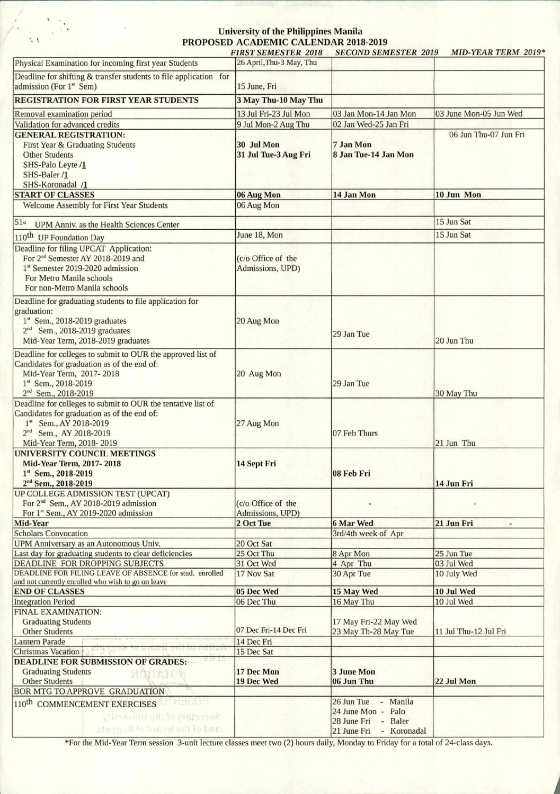## **University of the Philippines Manila PROPOSED ACADEMIC CALENDAR 2018-2019**

|                                                                                                                                                                                                         | <b>FIRST SEMESTER 2018</b>             | <b>SECOND SEMESTER 2019</b>                                                                             | <b>MID-YEAR TERM 2019*</b>             |
|---------------------------------------------------------------------------------------------------------------------------------------------------------------------------------------------------------|----------------------------------------|---------------------------------------------------------------------------------------------------------|----------------------------------------|
| Physical Examination for incoming first year Students                                                                                                                                                   | 26 April, Thu-3 May, Thu               |                                                                                                         |                                        |
| Deadline for shifting & transfer students to file application for<br>admission (For 1st Sem)                                                                                                            | 15 June, Fri                           |                                                                                                         |                                        |
| <b>REGISTRATION FOR FIRST YEAR STUDENTS</b>                                                                                                                                                             | 3 May Thu-10 May Thu                   |                                                                                                         |                                        |
| Removal examination period                                                                                                                                                                              | 13 Jul Fri-23 Jul Mon                  | 03 Jan Mon-14 Jan Mon                                                                                   | 03 June Mon-05 Jun Wed                 |
| Validation for advanced credits                                                                                                                                                                         | 9 Jul Mon-2 Aug Thu                    | 02 Jan Wed-25 Jan Fri                                                                                   |                                        |
| <b>GENERAL REGISTRATION:</b><br>First Year & Graduating Students<br><b>Other Students</b><br>SHS-Palo Leyte /1<br>SHS-Baler /1<br>SHS-Koronadal /1                                                      | 30 Jul Mon<br>31 Jul Tue-3 Aug Fri     | 7 Jan Mon<br>8 Jan Tue-14 Jan Mon                                                                       | 06 Jun Thu-07 Jun Fri                  |
| <b>START OF CLASSES</b>                                                                                                                                                                                 | 06 Aug Mon                             | 14 Jan Mon                                                                                              | 10 Jun Mon                             |
| Welcome Assembly for First Year Students                                                                                                                                                                | 06 Aug Mon                             |                                                                                                         |                                        |
|                                                                                                                                                                                                         |                                        |                                                                                                         |                                        |
| 51st<br>UPM Anniv. as the Health Sciences Center                                                                                                                                                        |                                        |                                                                                                         | 15 Jun Sat                             |
| 110 <sup>th</sup> UP Foundation Day                                                                                                                                                                     | June 18, Mon                           |                                                                                                         | 15 Jun Sat                             |
| Deadline for filing UPCAT Application:<br>For 2 <sup>nd</sup> Semester AY 2018-2019 and<br>1st Semester 2019-2020 admission<br>For Metro Manila schools<br>For non-Metro Manila schools                 | (c/o Office of the<br>Admissions, UPD) |                                                                                                         |                                        |
| Deadline for graduating students to file application for<br>graduation:<br>$1st$ Sem., 2018-2019 graduates<br>2 <sup>nd</sup> Sem., 2018-2019 graduates<br>Mid-Year Term, 2018-2019 graduates           | 20 Aug Mon                             | 29 Jan Tue                                                                                              | 20 Jun Thu                             |
| Deadline for colleges to submit to OUR the approved list of<br>Candidates for graduation as of the end of:<br>Mid-Year Term, 2017-2018<br>1st Sem., 2018-2019<br>2 <sup>nd</sup> Sem., 2018-2019        | 20 Aug Mon                             | 29 Jan Tue                                                                                              | 30 May Thu                             |
| Deadline for colleges to submit to OUR the tentative list of<br>Candidates for graduation as of the end of:<br>1st Sem., AY 2018-2019<br>2 <sup>nd</sup> Sem., AY 2018-2019<br>Mid-Year Term, 2018-2019 | 27 Aug Mon                             | 07 Feb Thurs                                                                                            | 21 Jun Thu                             |
| UNIVERSITY COUNCIL MEETINGS<br><b>Mid-Year Term, 2017-2018</b><br>1st Sem., 2018-2019<br>2 <sup>nd</sup> Sem., 2018-2019                                                                                | 14 Sept Fri                            | 08 Feb Fri                                                                                              | 14 Jun Fri                             |
| UP COLLEGE ADMISSION TEST (UPCAT)<br>For 2 <sup>nd</sup> Sem., AY 2018-2019 admission<br>For 1st Sem., AY 2019-2020 admission                                                                           | (c/o Office of the<br>Admissions, UPD) |                                                                                                         |                                        |
| Mid-Year                                                                                                                                                                                                | 2 Oct Tue                              | <b>6 Mar Wed</b>                                                                                        | 21 Jun Fri<br>$\overline{\phantom{a}}$ |
| <b>Scholars Convocation</b>                                                                                                                                                                             |                                        | 3rd/4th week of Apr                                                                                     |                                        |
| UPM Anniversary as an Autonomous Univ.                                                                                                                                                                  | 20 Oct Sat                             |                                                                                                         |                                        |
| Last day for graduating students to clear deficiencies<br>DEADLINE FOR DROPPING SUBJECTS                                                                                                                | 25 Oct Thu                             | 8 Apr Mon                                                                                               | 25 Jun Tue<br>03 Jul Wed               |
| DEADLINE FOR FILING LEAVE OF ABSENCE for stud. enrolled                                                                                                                                                 | 31 Oct Wed<br>17 Nov Sat               | 4 Apr Thu<br>30 Apr Tue                                                                                 | 10 July Wed                            |
| and not currently enrolled who wish to go on leave                                                                                                                                                      |                                        |                                                                                                         |                                        |
| <b>END OF CLASSES</b>                                                                                                                                                                                   | 05 Dec Wed                             | 15 May Wed                                                                                              | 10 Jul Wed                             |
| <b>Integration Period</b>                                                                                                                                                                               | 06 Dec Thu                             | 16 May Thu                                                                                              | 10 Jul Wed                             |
| FINAL EXAMINATION:                                                                                                                                                                                      |                                        |                                                                                                         |                                        |
| <b>Graduating Students</b>                                                                                                                                                                              | 07 Dec Fri-14 Dec Fri                  | 17 May Fri-22 May Wed                                                                                   |                                        |
| <b>Other Students</b><br>Lantern Parade                                                                                                                                                                 | 14 Dec Fri                             | 23 May Th-28 May Tue                                                                                    | 11 Jul Thu-12 Jul Fri                  |
| <b>Christmas Vacation</b>                                                                                                                                                                               | 15 Dec Sat                             |                                                                                                         |                                        |
| DEADLINE FOR SUBMISSION OF GRADES:<br><b>Graduating Students</b><br><b>VIOLTATOM</b><br><b>Other Students</b>                                                                                           | 17 Dec Mon<br>19 Dec Wed               | <b>3 June Mon</b><br>06 Jun Thu                                                                         | 22 Jul Mon                             |
| BOR MTG TO APPROVE GRADUATION                                                                                                                                                                           |                                        |                                                                                                         |                                        |
| <b>MENGLY</b><br>110 <sup>th</sup> COMMENCEMENT EXERCISES<br>Secretary of the University<br>and of the Board of Regents.                                                                                |                                        | 26 Jun Tue<br>- Manila<br>Palo<br>24 June Mon -<br>- Baler<br>28 June Fri<br>21 June Fri<br>- Koronadal |                                        |

\*For the Mid-Year Term session 3-unit lecture classes meet two (2) hours daily, Monday to Friday for a total of 24-class days.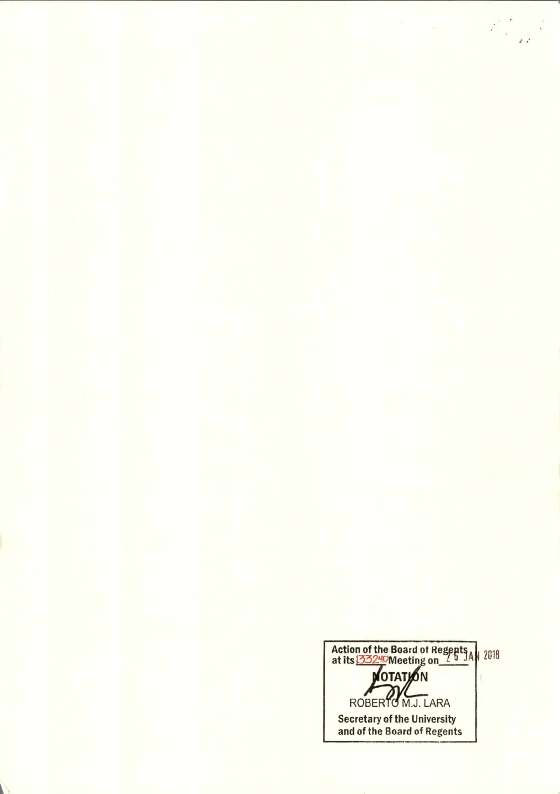